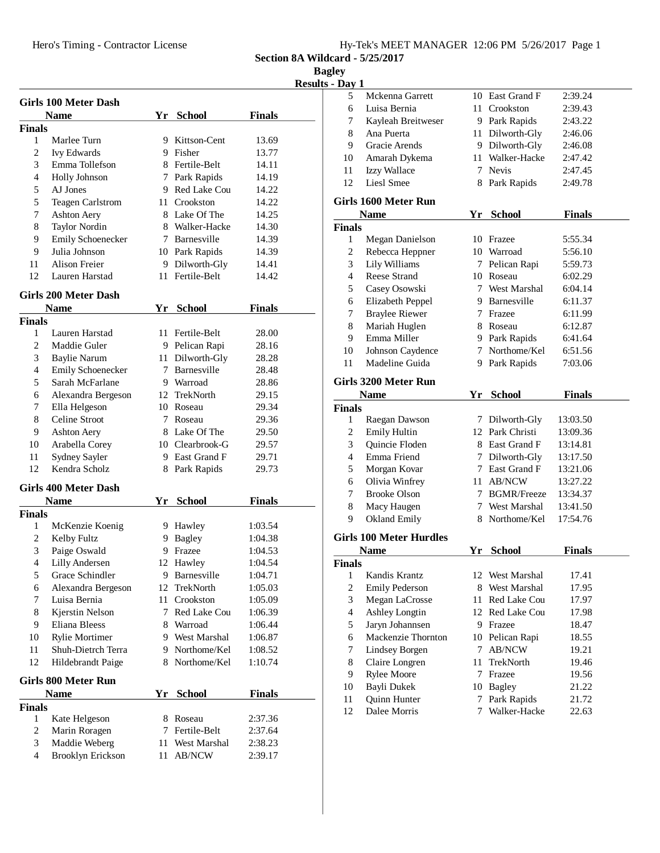**Section 8A Wildcard - 5/25/2017**

## **Bagley**

**Results - Day 1**

|                          |                             |      |                 |               | Resu |
|--------------------------|-----------------------------|------|-----------------|---------------|------|
|                          | <b>Girls 100 Meter Dash</b> |      |                 |               |      |
|                          | <b>Name</b>                 |      | Yr School       | <b>Finals</b> |      |
| Finals                   |                             |      |                 |               |      |
| 1                        | Marlee Turn                 |      | 9 Kittson-Cent  | 13.69         |      |
| 2                        | Ivy Edwards                 |      | 9 Fisher        | 13.77         |      |
| 3                        | Emma Tollefson              |      | 8 Fertile-Belt  | 14.11         |      |
| $\overline{4}$           | Holly Johnson               |      | 7 Park Rapids   | 14.19         |      |
| 5                        | AJ Jones                    |      | 9 Red Lake Cou  | 14.22         |      |
| 5                        | <b>Teagen Carlstrom</b>     |      | 11 Crookston    | 14.22         |      |
| 7                        | <b>Ashton Aery</b>          |      | 8 Lake Of The   | 14.25         |      |
| 8                        | <b>Taylor Nordin</b>        |      | 8 Walker-Hacke  | 14.30         |      |
| 9                        | Emily Schoenecker           |      | 7 Barnesville   | 14.39         |      |
| 9                        | Julia Johnson               |      | 10 Park Rapids  | 14.39         |      |
| 11                       | <b>Alison Freier</b>        |      | 9 Dilworth-Gly  | 14.41         |      |
| 12                       | Lauren Harstad              | 11 - | Fertile-Belt    | 14.42         |      |
|                          |                             |      |                 |               |      |
|                          | <b>Girls 200 Meter Dash</b> |      |                 |               |      |
|                          | <b>Name</b>                 |      | Yr School       | <b>Finals</b> |      |
| <b>Finals</b>            |                             |      |                 |               |      |
| 1                        | Lauren Harstad              |      | 11 Fertile-Belt | 28.00         |      |
| $\overline{c}$           | Maddie Guler                |      | 9 Pelican Rapi  | 28.16         |      |
| 3                        | <b>Baylie Narum</b>         |      | 11 Dilworth-Gly | 28.28         |      |
| $\overline{\mathcal{L}}$ | Emily Schoenecker           |      | 7 Barnesville   | 28.48         |      |
| 5                        | Sarah McFarlane             |      | 9 Warroad       | 28.86         |      |
| 6                        | Alexandra Bergeson          |      | 12 TrekNorth    | 29.15         |      |
| 7                        | Ella Helgeson               |      | 10 Roseau       | 29.34         |      |
| 8                        | Celine Stroot               |      | 7 Roseau        | 29.36         |      |
| 9                        | <b>Ashton Aery</b>          |      | 8 Lake Of The   | 29.50         |      |
| 10                       | Arabella Corey              |      | 10 Clearbrook-G | 29.57         |      |
| 11                       | Sydney Sayler               |      | 9 East Grand F  | 29.71         |      |
| 12                       | Kendra Scholz               |      | 8 Park Rapids   | 29.73         |      |
|                          | <b>Girls 400 Meter Dash</b> |      |                 |               |      |
|                          | <b>Name</b>                 | Yr   | <b>School</b>   | <b>Finals</b> |      |
| <b>Finals</b>            |                             |      |                 |               |      |
| 1                        | McKenzie Koenig             |      | 9 Hawley        | 1:03.54       |      |
| 2                        | Kelby Fultz                 |      | 9 Bagley        | 1:04.38       |      |
| 3                        | Paige Oswald                |      | 9 Frazee        | 1:04.53       |      |
| 4                        | Lilly Andersen              |      | 12 Hawley       | 1:04.54       |      |
| 5                        | Grace Schindler             |      | 9 Barnesville   | 1:04.71       |      |
| 6                        | Alexandra Bergeson          | 12   | TrekNorth       | 1:05.03       |      |
| 7                        | Luisa Bernia                | 11 - | Crookston       | 1:05.09       |      |
| 8                        | Kjerstin Nelson             | 7    | Red Lake Cou    | 1:06.39       |      |
| 9                        | Eliana Bleess               | 8.   | Warroad         | 1:06.44       |      |
| 10                       | <b>Rylie Mortimer</b>       |      | 9 West Marshal  | 1:06.87       |      |
| 11                       | Shuh-Dietrch Terra          |      | 9 Northome/Kel  | 1:08.52       |      |
| 12                       | Hildebrandt Paige           |      | 8 Northome/Kel  | 1:10.74       |      |
|                          |                             |      |                 |               |      |
|                          | Girls 800 Meter Run         |      |                 |               |      |
|                          | <b>Name</b>                 |      | Yr School       | <b>Finals</b> |      |
| <b>Finals</b>            |                             |      |                 |               |      |
| 1                        | Kate Helgeson               | 8.   | Roseau          | 2:37.36       |      |
| $\overline{c}$           | Marin Roragen               | 7    | Fertile-Belt    | 2:37.64       |      |
| 3                        | Maddie Weberg               | 11   | West Marshal    | 2:38.23       |      |
| 4                        | Brooklyn Erickson           | 11   | AB/NCW          | 2:39.17       |      |
|                          |                             |      |                 |               |      |

|                    | Day 1                                 |                   |                                   |                |  |
|--------------------|---------------------------------------|-------------------|-----------------------------------|----------------|--|
| 5                  | Mckenna Garrett                       |                   | 10 East Grand F                   | 2:39.24        |  |
| 6                  | Luisa Bernia                          |                   | 11 Crookston                      | 2:39.43        |  |
| 7                  | Kayleah Breitweser                    |                   | 9 Park Rapids                     | 2:43.22        |  |
| 8                  | Ana Puerta                            |                   | 11 Dilworth-Gly                   | 2:46.06        |  |
| 9                  | <b>Gracie Arends</b>                  |                   | 9 Dilworth-Gly                    | 2:46.08        |  |
| 10                 | Amarah Dykema                         |                   | 11 Walker-Hacke                   | 2:47.42        |  |
| 11                 | Izzy Wallace                          | 7                 | Nevis                             | 2:47.45        |  |
| 12                 | <b>Liesl Smee</b>                     |                   | 8 Park Rapids                     | 2:49.78        |  |
|                    | Girls 1600 Meter Run                  |                   |                                   |                |  |
|                    | <b>Name</b>                           | Yr                | School                            | <b>Finals</b>  |  |
| <b>Finals</b>      |                                       |                   |                                   |                |  |
| 1                  | <b>Megan Danielson</b>                |                   | 10 Frazee                         | 5:55.34        |  |
| $\mathbf{2}$       | Rebecca Heppner                       |                   | 10 Warroad                        | 5:56.10        |  |
| 3                  | Lily Williams                         |                   | 7 Pelican Rapi                    | 5:59.73        |  |
| $\overline{4}$     | <b>Reese Strand</b>                   |                   | 10 Roseau                         | 6:02.29        |  |
| 5                  | Casey Osowski                         |                   | 7 West Marshal                    | 6:04.14        |  |
| 6                  | Elizabeth Peppel                      |                   | 9 Barnesville                     | 6:11.37        |  |
| 7                  | <b>Braylee Riewer</b>                 |                   | 7 Frazee                          | 6:11.99        |  |
| 8                  | Mariah Huglen                         |                   | 8 Roseau                          | 6:12.87        |  |
| 9                  | Emma Miller                           |                   | 9 Park Rapids                     | 6:41.64        |  |
| 10                 | Johnson Caydence                      | 7                 | Northome/Kel                      | 6:51.56        |  |
| 11                 | Madeline Guida                        |                   | 9 Park Rapids                     | 7:03.06        |  |
|                    | Girls 3200 Meter Run                  |                   |                                   |                |  |
|                    | Name                                  | Yr                | <b>School</b>                     | <b>Finals</b>  |  |
|                    |                                       |                   |                                   |                |  |
|                    |                                       |                   |                                   |                |  |
| <b>Finals</b><br>1 |                                       |                   |                                   | 13:03.50       |  |
| 2                  | Raegan Dawson                         |                   | 7 Dilworth-Gly<br>12 Park Christi | 13:09.36       |  |
| 3                  | <b>Emily Hultin</b><br>Quincie Floden |                   | 8 East Grand F                    | 13:14.81       |  |
| 4                  | Emma Friend                           |                   |                                   | 13:17.50       |  |
| 5                  |                                       |                   | 7 Dilworth-Gly<br>7 East Grand F  | 13:21.06       |  |
| 6                  | Morgan Kovar                          |                   | 11 AB/NCW                         | 13:27.22       |  |
| 7                  | Olivia Winfrey<br><b>Brooke Olson</b> |                   | 7 BGMR/Freeze                     | 13:34.37       |  |
| 8                  |                                       |                   | 7 West Marshal                    | 13:41.50       |  |
| 9                  | Macy Haugen<br><b>Okland Emily</b>    |                   | 8 Northome/Kel                    | 17:54.76       |  |
|                    |                                       |                   |                                   |                |  |
|                    | <b>Girls 100 Meter Hurdles</b>        | Υr                |                                   | <b>Finals</b>  |  |
| Finals             | <b>Name</b>                           |                   | <b>School</b>                     |                |  |
| $\mathbf{1}$       | Kandis Krantz                         |                   | 12 West Marshal                   | 17.41          |  |
|                    |                                       | 8                 | West Marshal                      |                |  |
| $\overline{c}$     | <b>Emily Pederson</b>                 | 11                |                                   | 17.95          |  |
| 3                  | Megan LaCrosse                        |                   | Red Lake Cou                      | 17.97          |  |
| $\overline{4}$     | Ashley Longtin                        |                   | 12 Red Lake Cou                   | 17.98          |  |
| 5<br>6             | Jaryn Johannsen                       |                   | 9 Frazee                          | 18.47          |  |
|                    | Mackenzie Thornton                    |                   | 10 Pelican Rapi                   | 18.55          |  |
| 7                  | <b>Lindsey Borgen</b>                 | $7^{\circ}$<br>11 | $\operatorname{AB/NCW}$           | 19.21          |  |
| 8                  | Claire Longren                        |                   | TrekNorth                         | 19.46          |  |
| 9                  | <b>Rylee Moore</b>                    | 7                 | Frazee                            | 19.56          |  |
| 10                 | Bayli Dukek                           |                   | 10 Bagley                         | 21.22          |  |
| 11<br>12           | Quinn Hunter<br>Dalee Morris          | 7<br>7            | Park Rapids<br>Walker-Hacke       | 21.72<br>22.63 |  |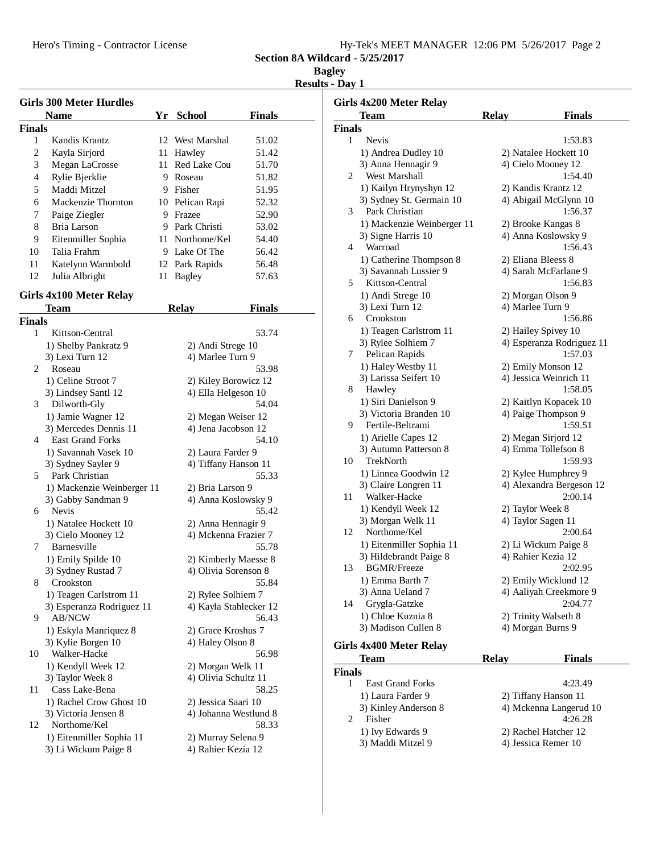|  |  |  |  | Hy-Tek's MEET MANAGER 12:06 PM 5/26/2017 Page 2 |  |  |  |
|--|--|--|--|-------------------------------------------------|--|--|--|
|--|--|--|--|-------------------------------------------------|--|--|--|

**Section 8A Wildcard - 5/25/2017**

## **Bagley**

Results - Day 1

|               | <b>Girls 300 Meter Hurdles</b><br><b>Name</b> | Yr | <b>School</b>          | <b>Finals</b> |
|---------------|-----------------------------------------------|----|------------------------|---------------|
| <b>Finals</b> |                                               |    |                        |               |
| 1             | Kandis Krantz                                 |    | 12 West Marshal        | 51.02         |
| 2             | Kayla Sirjord                                 |    | 11 Hawley              | 51.42         |
| 3             | Megan LaCrosse                                | 11 | <b>Red Lake Cou</b>    | 51.70         |
| 4             | Rylie Bjerklie                                | 9. | Roseau                 | 51.82         |
| 5             | Maddi Mitzel                                  |    | 9 Fisher               | 51.95         |
| 6             | Mackenzie Thornton                            |    | 10 Pelican Rapi        | 52.32         |
| 7             | Paige Ziegler                                 | 9. | Frazee                 | 52.90         |
| 8             | Bria Larson                                   | 9  | Park Christi           | 53.02         |
| 9             | Eitenmiller Sophia                            | 11 | Northome/Kel           | 54.40         |
| 10            | Talia Frahm                                   |    | 9 Lake Of The          | 56.42         |
| 11            | Katelynn Warmbold                             |    | 12 Park Rapids         | 56.48         |
| 12            | Julia Albright                                | 11 | <b>Bagley</b>          | 57.63         |
|               |                                               |    |                        |               |
|               | Girls 4x100 Meter Relay                       |    |                        |               |
|               | <b>Team</b>                                   |    | <b>Relay</b>           | <b>Finals</b> |
| <b>Finals</b> |                                               |    |                        |               |
| 1             | Kittson-Central                               |    |                        | 53.74         |
|               | 1) Shelby Pankratz 9                          |    | 2) Andi Strege 10      |               |
|               | 3) Lexi Turn 12                               |    | 4) Marlee Turn 9       |               |
| 2             | Roseau                                        |    |                        | 53.98         |
|               | 1) Celine Stroot 7                            |    | 2) Kiley Borowicz 12   |               |
|               | 3) Lindsey Santl 12                           |    | 4) Ella Helgeson 10    |               |
| 3             | Dilworth-Gly                                  |    |                        | 54.04         |
|               | 1) Jamie Wagner 12                            |    | 2) Megan Weiser 12     |               |
|               | 3) Mercedes Dennis 11                         |    | 4) Jena Jacobson 12    |               |
| 4             | <b>East Grand Forks</b>                       |    |                        | 54.10         |
|               | 1) Savannah Vasek 10                          |    | 2) Laura Farder 9      |               |
|               | 3) Sydney Sayler 9                            |    | 4) Tiffany Hanson 11   |               |
| 5             | Park Christian                                |    |                        | 55.33         |
|               | 1) Mackenzie Weinberger 11                    |    | 2) Bria Larson 9       |               |
| 6             | 3) Gabby Sandman 9<br><b>Nevis</b>            |    | 4) Anna Koslowsky 9    | 55.42         |
|               | 1) Natalee Hockett 10                         |    | 2) Anna Hennagir 9     |               |
|               | 3) Cielo Mooney 12                            |    | 4) Mckenna Frazier 7   |               |
| 7             | Barnesville                                   |    |                        | 55.78         |
|               | 1) Emily Spilde 10                            |    | 2) Kimberly Maesse 8   |               |
|               | 3) Sydney Rustad 7                            |    | 4) Olivia Sorenson 8   |               |
| 8             | Crookston                                     |    |                        | 55.84         |
|               | 1) Teagen Carlstrom 11                        |    | 2) Rylee Solhiem 7     |               |
|               | 3) Esperanza Rodriguez 11                     |    | 4) Kayla Stahlecker 12 |               |
| 9             | AB/NCW                                        |    |                        | 56.43         |
|               | 1) Eskyla Manriquez 8                         |    | 2) Grace Kroshus 7     |               |
|               | 3) Kylie Borgen 10                            |    | 4) Haley Olson 8       |               |
| 10            | Walker-Hacke                                  |    |                        | 56.98         |
|               | 1) Kendyll Week 12                            |    | 2) Morgan Welk 11      |               |
|               | 3) Taylor Week 8                              |    | 4) Olivia Schultz 11   |               |
| 11            | Cass Lake-Bena                                |    |                        | 58.25         |
|               | 1) Rachel Crow Ghost 10                       |    | 2) Jessica Saari 10    |               |
|               | 3) Victoria Jensen 8                          |    | 4) Johanna Westlund 8  |               |
| 12            | Northome/Kel                                  |    |                        | 58.33         |
|               | 1) Eitenmiller Sophia 11                      |    | 2) Murray Selena 9     |               |
|               | 3) Li Wickum Paige 8                          |    | 4) Rahier Kezia 12     |               |
|               |                                               |    |                        |               |

|               | <b>Girls 4x200 Meter Relay</b>              |              |                                              |
|---------------|---------------------------------------------|--------------|----------------------------------------------|
|               | <b>Team</b>                                 | <b>Relay</b> | Finals                                       |
| <b>Finals</b> |                                             |              |                                              |
| 1             | Nevis                                       |              | 1:53.83                                      |
|               | 1) Andrea Dudley 10                         |              | 2) Natalee Hockett 10                        |
|               | 3) Anna Hennagir 9                          |              | 4) Cielo Mooney 12                           |
| 2             | West Marshall                               |              | 1:54.40                                      |
|               | 1) Kailyn Hrynyshyn 12                      |              | 2) Kandis Krantz 12                          |
|               | 3) Sydney St. Germain 10                    |              | 4) Abigail McGlynn 10                        |
| 3             | Park Christian                              |              | 1:56.37                                      |
|               | 1) Mackenzie Weinberger 11                  |              | 2) Brooke Kangas 8                           |
|               | 3) Signe Harris 10                          |              | 4) Anna Koslowsky 9                          |
| 4             | Warroad                                     |              | 1:56.43                                      |
|               | 1) Catherine Thompson 8                     |              | 2) Eliana Bleess 8                           |
|               | 3) Savannah Lussier 9                       |              | 4) Sarah McFarlane 9                         |
| 5             | Kittson-Central                             |              | 1:56.83                                      |
|               | 1) Andi Strege 10                           |              | 2) Morgan Olson 9                            |
|               | 3) Lexi Turn 12                             |              | 4) Marlee Turn 9                             |
| 6             | Crookston                                   |              | 1:56.86                                      |
|               | 1) Teagen Carlstrom 11                      |              | 2) Hailey Spivey 10                          |
|               | 3) Rylee Solhiem 7                          |              | 4) Esperanza Rodriguez 11                    |
| 7             | Pelican Rapids                              |              | 1:57.03                                      |
|               | 1) Haley Westby 11<br>3) Larissa Seifert 10 |              | 2) Emily Monson 12<br>4) Jessica Weinrich 11 |
| 8             | Hawley                                      |              | 1:58.05                                      |
|               | 1) Siri Danielson 9                         |              |                                              |
|               | 3) Victoria Branden 10                      |              | 2) Kaitlyn Kopacek 10<br>4) Paige Thompson 9 |
| 9             | Fertile-Beltrami                            |              | 1:59.51                                      |
|               | 1) Arielle Capes 12                         |              | 2) Megan Sirjord 12                          |
|               | 3) Autumn Patterson 8                       |              | 4) Emma Tollefson 8                          |
| 10            | TrekNorth                                   |              | 1:59.93                                      |
|               | 1) Linnea Goodwin 12                        |              | 2) Kylee Humphrey 9                          |
|               | 3) Claire Longren 11                        |              | 4) Alexandra Bergeson 12                     |
| 11            | Walker-Hacke                                |              | 2:00.14                                      |
|               | 1) Kendyll Week 12                          |              | 2) Taylor Week 8                             |
|               | 3) Morgan Welk 11                           |              | 4) Taylor Sagen 11                           |
| 12            | Northome/Kel                                |              | 2:00.64                                      |
|               | 1) Eitenmiller Sophia 11                    |              | 2) Li Wickum Paige 8                         |
|               | 3) Hildebrandt Paige 8                      |              | 4) Rahier Kezia 12                           |
| 13            | <b>BGMR/Freeze</b>                          |              | 2:02.95                                      |
|               | 1) Emma Barth 7                             |              | 2) Emily Wicklund 12                         |
|               | 3) Anna Ueland 7                            |              | 4) Aaliyah Creekmore 9                       |
| 14            | Grygla-Gatzke                               |              | 2:04.77                                      |
|               | 1) Chloe Kuznia 8                           |              | 2) Trinity Walseth 8                         |
|               | 3) Madison Cullen 8                         |              | 4) Morgan Burns 9                            |
|               |                                             |              |                                              |

## **Girls 4x400 Meter Relay**

| <b>Relav</b> | <b>Finals</b>                                                                                 |
|--------------|-----------------------------------------------------------------------------------------------|
|              |                                                                                               |
|              | 4:23.49                                                                                       |
|              |                                                                                               |
|              |                                                                                               |
|              | 4:26.28                                                                                       |
|              |                                                                                               |
|              |                                                                                               |
|              | 2) Tiffany Hanson 11<br>4) Mckenna Langerud 10<br>2) Rachel Hatcher 12<br>4) Jessica Remer 10 |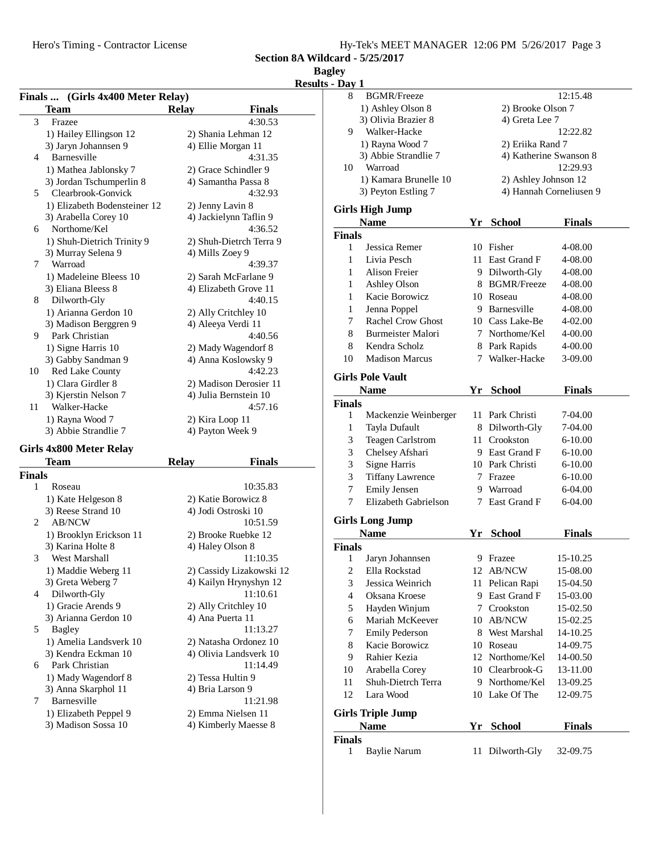|  | Hy-Tek's MEET MANAGER 12:06 PM 5/26/2017 Page 3 |  |  |
|--|-------------------------------------------------|--|--|
|  |                                                 |  |  |

**Section 8A Wildcard - 5/25/2017**

**Bagley**

**Results - Day 1**

| Finals  (Girls 4x400 Meter Relay) |                              |              |                         |  |  |  |
|-----------------------------------|------------------------------|--------------|-------------------------|--|--|--|
|                                   | Team                         | <b>Relay</b> | <b>Finals</b>           |  |  |  |
| 3                                 | Frazee                       |              | 4:30.53                 |  |  |  |
|                                   | 1) Hailey Ellingson 12       |              | 2) Shania Lehman 12     |  |  |  |
|                                   | 3) Jaryn Johannsen 9         |              | 4) Ellie Morgan 11      |  |  |  |
| 4                                 | Barnesville                  |              | 4:31.35                 |  |  |  |
|                                   | 1) Mathea Jablonsky 7        |              | 2) Grace Schindler 9    |  |  |  |
|                                   | 3) Jordan Tschumperlin 8     |              | 4) Samantha Passa 8     |  |  |  |
| 5                                 | Clearbrook-Gonvick           |              | 4:32.93                 |  |  |  |
|                                   | 1) Elizabeth Bodensteiner 12 |              | 2) Jenny Lavin 8        |  |  |  |
|                                   | 3) Arabella Corey 10         |              | 4) Jackielynn Taflin 9  |  |  |  |
| 6                                 | Northome/Kel                 |              | 4:36.52                 |  |  |  |
|                                   | 1) Shuh-Dietrich Trinity 9   |              | 2) Shuh-Dietrch Terra 9 |  |  |  |
|                                   | 3) Murray Selena 9           |              | 4) Mills Zoey 9         |  |  |  |
| 7                                 | Warroad                      |              | 4:39.37                 |  |  |  |
|                                   | 1) Madeleine Bleess 10       |              | 2) Sarah McFarlane 9    |  |  |  |
|                                   | 3) Eliana Bleess 8           |              | 4) Elizabeth Grove 11   |  |  |  |
| 8                                 | Dilworth-Gly                 |              | 4:40.15                 |  |  |  |
|                                   | 1) Arianna Gerdon 10         |              | 2) Ally Critchley 10    |  |  |  |
|                                   | 3) Madison Berggren 9        |              | 4) Aleeya Verdi 11      |  |  |  |
| 9                                 | Park Christian               |              | 4:40.56                 |  |  |  |
|                                   | 1) Signe Harris 10           |              | 2) Mady Wagendorf 8     |  |  |  |
|                                   | 3) Gabby Sandman 9           |              | 4) Anna Koslowsky 9     |  |  |  |
| 10                                | Red Lake County              |              | 4:42.23                 |  |  |  |
|                                   | 1) Clara Girdler 8           |              | 2) Madison Derosier 11  |  |  |  |
|                                   | 3) Kjerstin Nelson 7         |              | 4) Julia Bernstein 10   |  |  |  |
| 11                                | Walker-Hacke                 |              | 4:57.16                 |  |  |  |
|                                   | 1) Rayna Wood 7              |              | 2) Kira Loop 11         |  |  |  |
|                                   | 3) Abbie Strandlie 7         |              | 4) Payton Week 9        |  |  |  |
|                                   | Girls 4x800 Meter Relay      |              |                         |  |  |  |
|                                   | <b>Team</b>                  | <b>Relav</b> | <b>Finals</b>           |  |  |  |

| <b>Finals</b> |                         |                          |
|---------------|-------------------------|--------------------------|
| 1             | Roseau                  | 10:35.83                 |
|               | 1) Kate Helgeson 8      | 2) Katie Borowicz 8      |
|               | 3) Reese Strand 10      | 4) Jodi Ostroski 10      |
| 2             | <b>AB/NCW</b>           | 10:51.59                 |
|               | 1) Brooklyn Erickson 11 | 2) Brooke Ruebke 12      |
|               | 3) Karina Holte 8       | 4) Haley Olson 8         |
| 3             | West Marshall           | 11:10.35                 |
|               | 1) Maddie Weberg 11     | 2) Cassidy Lizakowski 12 |
|               | 3) Greta Weberg 7       | 4) Kailyn Hrynyshyn 12   |
| 4             | Dilworth-Gly            | 11:10.61                 |
|               | 1) Gracie Arends 9      | 2) Ally Critchley 10     |
|               | 3) Arianna Gerdon 10    | 4) Ana Puerta 11         |
| 5             | Bagley                  | 11:13.27                 |
|               | 1) Amelia Landsverk 10  | 2) Natasha Ordonez 10    |
|               | 3) Kendra Eckman 10     | 4) Olivia Landsverk 10   |
| 6             | Park Christian          | 11:14.49                 |
|               | 1) Mady Wagendorf 8     | 2) Tessa Hultin 9        |
|               | 3) Anna Skarphol 11     | 4) Bria Larson 9         |
| 7             | Barnesville             | 11:21.98                 |
|               | 1) Elizabeth Peppel 9   | 2) Emma Nielsen 11       |
|               | 3) Madison Sossa 10     | 4) Kimberly Maesse 8     |

| 8                        | <b>BGMR/Freeze</b>      |                      |                         | 12:15.48      |  |  |  |
|--------------------------|-------------------------|----------------------|-------------------------|---------------|--|--|--|
|                          | 1) Ashley Olson 8       |                      | 2) Brooke Olson 7       |               |  |  |  |
|                          | 3) Olivia Brazier 8     |                      | 4) Greta Lee 7          |               |  |  |  |
| 9.                       | Walker-Hacke            |                      |                         | 12:22.82      |  |  |  |
|                          | 1) Rayna Wood 7         |                      | 2) Eriika Rand 7        |               |  |  |  |
|                          | 3) Abbie Strandlie 7    |                      | 4) Katherine Swanson 8  |               |  |  |  |
| 10                       | Warroad                 | 12:29.93             |                         |               |  |  |  |
|                          | 1) Kamara Brunelle 10   | 2) Ashley Johnson 12 |                         |               |  |  |  |
|                          | 3) Peyton Estling 7     |                      | 4) Hannah Corneliusen 9 |               |  |  |  |
|                          | <b>Girls High Jump</b>  |                      |                         |               |  |  |  |
|                          | <b>Name</b>             |                      | Yr School               | <b>Finals</b> |  |  |  |
| <b>Finals</b>            |                         |                      |                         |               |  |  |  |
| 1                        | Jessica Remer           |                      | 10 Fisher               | 4-08.00       |  |  |  |
| 1                        | Livia Pesch             |                      | 11 East Grand F         | 4-08.00       |  |  |  |
| 1                        | <b>Alison Freier</b>    |                      | 9 Dilworth-Gly          | 4-08.00       |  |  |  |
| 1                        | Ashley Olson            |                      | 8 BGMR/Freeze           | 4-08.00       |  |  |  |
| $\mathbf{1}$             | Kacie Borowicz          |                      | 10 Roseau               | 4-08.00       |  |  |  |
| 1                        | Jenna Poppel            |                      | 9 Barnesville           | 4-08.00       |  |  |  |
| 7                        | Rachel Crow Ghost       |                      | 10 Cass Lake-Be         | 4-02.00       |  |  |  |
| 8                        | Burmeister Malori       |                      | 7 Northome/Kel          | 4-00.00       |  |  |  |
| 8                        | Kendra Scholz           |                      | 8 Park Rapids           | 4-00.00       |  |  |  |
| 10                       | <b>Madison Marcus</b>   |                      | 7 Walker-Hacke          | 3-09.00       |  |  |  |
|                          |                         |                      |                         |               |  |  |  |
|                          | <b>Girls Pole Vault</b> |                      |                         |               |  |  |  |
|                          | <b>Name</b>             | Yr                   | <b>School</b>           | <b>Finals</b> |  |  |  |
| <b>Finals</b>            |                         |                      |                         |               |  |  |  |
| 1                        | Mackenzie Weinberger    |                      | 11 Park Christi         | 7-04.00       |  |  |  |
| 1                        | Tayla Dufault           |                      | 8 Dilworth-Gly          | 7-04.00       |  |  |  |
| 3                        | <b>Teagen Carlstrom</b> | 11                   | Crookston               | 6-10.00       |  |  |  |
| 3                        | Chelsey Afshari         |                      | 9 East Grand F          | 6-10.00       |  |  |  |
| 3                        | Signe Harris            |                      | 10 Park Christi         | 6-10.00       |  |  |  |
| 3                        | <b>Tiffany Lawrence</b> |                      | 7 Frazee                | 6-10.00       |  |  |  |
| 7                        | <b>Emily Jensen</b>     |                      | 9 Warroad               | 6-04.00       |  |  |  |
| 7                        | Elizabeth Gabrielson    |                      | 7 East Grand F          | 6-04.00       |  |  |  |
|                          | <b>Girls Long Jump</b>  |                      |                         |               |  |  |  |
|                          | <b>Name</b>             |                      | Yr School               | <b>Finals</b> |  |  |  |
| <b>Finals</b>            |                         |                      |                         |               |  |  |  |
| 1                        | Jaryn Johannsen         | 9                    | Frazee                  | 15-10.25      |  |  |  |
| $\overline{\mathbf{c}}$  | Ella Rockstad           |                      | 12 AB/NCW               | 15-08.00      |  |  |  |
| 3                        | Jessica Weinrich        | 11                   | Pelican Rapi            | 15-04.50      |  |  |  |
| $\overline{4}$           | Oksana Kroese           | 9.                   | East Grand F            | 15-03.00      |  |  |  |
| 5                        | Hayden Winjum           | 7                    | Crookston               | 15-02.50      |  |  |  |
| 6                        | Mariah McKeever         |                      | 10 AB/NCW               | 15-02.25      |  |  |  |
| 7                        | <b>Emily Pederson</b>   |                      | 8 West Marshal          | 14-10.25      |  |  |  |
| 8                        | Kacie Borowicz          |                      | 10 Roseau               | 14-09.75      |  |  |  |
| 9                        | Rahier Kezia            |                      | 12 Northome/Kel         | 14-00.50      |  |  |  |
| 10                       | Arabella Corey          |                      | 10 Clearbrook-G         | 13-11.00      |  |  |  |
| 11                       | Shuh-Dietrch Terra      |                      | 9 Northome/Kel          | 13-09.25      |  |  |  |
| 12                       | Lara Wood               |                      | 10 Lake Of The          | 12-09.75      |  |  |  |
|                          |                         |                      |                         |               |  |  |  |
| <b>Girls Triple Jump</b> |                         |                      |                         |               |  |  |  |
|                          | <b>Name</b>             | Yr                   | <b>School</b>           | <b>Finals</b> |  |  |  |
| <b>Finals</b>            |                         |                      |                         |               |  |  |  |
| 1                        | <b>Baylie Narum</b>     | 11                   | Dilworth-Gly            | 32-09.75      |  |  |  |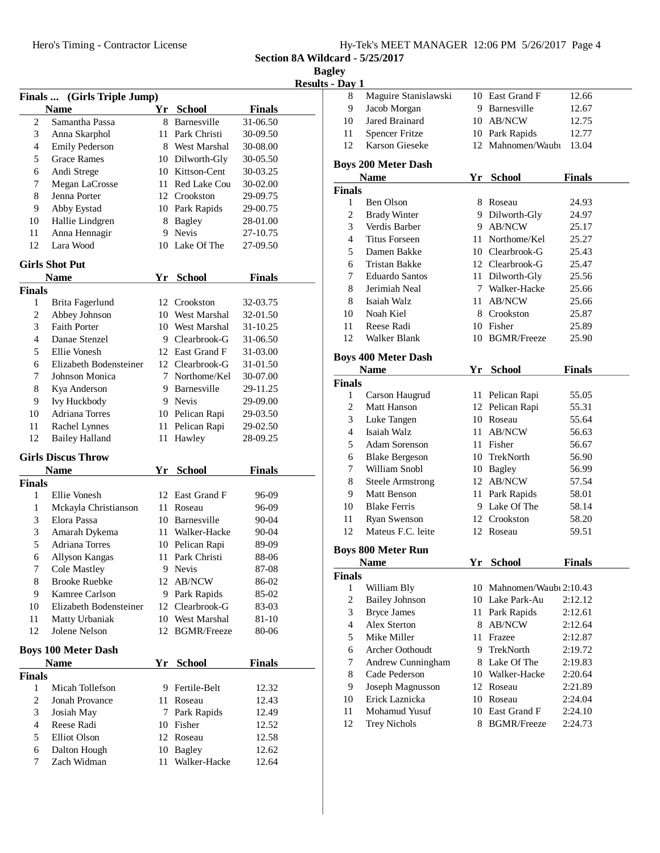**Section 8A Wildcard - 5/25/2017**

**Bagley**

|                          |                                           |    |                            |                           | Dagity<br><b>Results - Day 1</b> |
|--------------------------|-------------------------------------------|----|----------------------------|---------------------------|----------------------------------|
| <b>Finals</b>            | (Girls Triple Jump)                       |    |                            |                           | 8<br>9                           |
|                          | <b>Name</b><br>Samantha Passa             |    | Yr School<br>8 Barnesville | <b>Finals</b><br>31-06.50 | 10                               |
| 2<br>3                   | Anna Skarphol                             |    | 11 Park Christi            | 30-09.50                  | 11                               |
| $\overline{\mathcal{L}}$ | <b>Emily Pederson</b>                     |    | 8 West Marshal             | 30-08.00                  | 12                               |
| 5                        | <b>Grace Rames</b>                        |    | 10 Dilworth-Gly            | 30-05.50                  |                                  |
| 6                        | Andi Strege                               |    | 10 Kittson-Cent            | 30-03.25                  | <b>Boys 2</b>                    |
| 7                        | Megan LaCrosse                            | 11 | Red Lake Cou               | 30-02.00                  |                                  |
| 8                        | Jenna Porter                              |    | 12 Crookston               | 29-09.75                  | <b>Finals</b>                    |
| 9                        | Abby Eystad                               |    | 10 Park Rapids             | 29-00.75                  | 1                                |
| 10                       | Hallie Lindgren                           |    | 8 Bagley                   | 28-01.00                  | $\mathfrak{2}$                   |
| 11                       | Anna Hennagir                             |    | 9 Nevis                    | 27-10.75                  | 3                                |
| 12                       | Lara Wood                                 |    | 10 Lake Of The             | 27-09.50                  | $\overline{4}$                   |
|                          |                                           |    |                            |                           | 5                                |
|                          | <b>Girls Shot Put</b>                     |    |                            |                           | 6                                |
|                          | <b>Name</b>                               |    | Yr School                  | <b>Finals</b>             | 7                                |
| Finals                   |                                           |    |                            |                           | 8                                |
| 1                        | Brita Fagerlund                           |    | 12 Crookston               | 32-03.75                  | 8                                |
| 2                        | Abbey Johnson                             | 10 | West Marshal               | 32-01.50                  | 10                               |
| 3                        | <b>Faith Porter</b>                       | 10 | West Marshal               | 31-10.25                  | 11                               |
| 4                        | Danae Stenzel                             | 9  | Clearbrook-G               | 31-06.50                  | 12                               |
| 5                        | Ellie Vonesh                              |    | 12 East Grand F            | 31-03.00                  | <b>Boys 4</b>                    |
| 6                        | Elizabeth Bodensteiner                    |    | 12 Clearbrook-G            | 31-01.50                  |                                  |
| 7                        | Johnson Monica                            |    | 7 Northome/Kel             | 30-07.00                  | <b>Finals</b>                    |
| 8                        | Kya Anderson                              |    | 9 Barnesville              | 29-11.25                  | 1                                |
| 9                        | Ivy Huckbody                              |    | 9 Nevis                    | 29-09.00                  | $\overline{c}$                   |
| 10                       | Adriana Torres                            |    | 10 Pelican Rapi            | 29-03.50                  | 3                                |
| 11                       | Rachel Lynnes                             |    | 11 Pelican Rapi            | 29-02.50                  | $\overline{4}$                   |
| 12                       | <b>Bailey Halland</b>                     |    | 11 Hawley                  | 28-09.25                  | 5                                |
|                          | <b>Girls Discus Throw</b>                 |    |                            |                           | 6                                |
|                          | <b>Name</b>                               |    | Yr School                  | <b>Finals</b>             | 7                                |
| Finals                   |                                           |    |                            |                           | 8                                |
| 1                        | Ellie Vonesh                              |    | 12 East Grand F            | 96-09                     | 9                                |
| 1                        | Mckayla Christianson                      | 11 | Roseau                     | 96-09                     | 10                               |
| 3                        | Elora Passa                               | 10 | Barnesville                | 90-04                     | 11                               |
| 3                        | Amarah Dykema                             | 11 | Walker-Hacke               | 90-04                     | 12                               |
| 5                        | <b>Adriana Torres</b>                     |    | 10 Pelican Rapi            | 89-09                     |                                  |
| 6                        | Allyson Kangas                            |    | 11 Park Christi            | 88-06                     | <b>Boys 8</b>                    |
| 7                        | <b>Cole Mastley</b>                       |    | 9 Nevis                    | 87-08                     | Ŋ                                |
| 8                        | <b>Brooke Ruebke</b>                      | 12 | AB/NCW                     | 86-02                     | <b>Finals</b>                    |
| 9                        | Kamree Carlson                            |    | 9 Park Rapids              | 85-02                     | 1                                |
| 10                       | Elizabeth Bodensteiner                    | 12 | Clearbrook-G               | 83-03                     | $\overline{c}$                   |
| 11                       | Matty Urbaniak                            |    | 10 West Marshal            | 81-10                     | 3                                |
| 12                       | Jolene Nelson                             |    | 12 BGMR/Freeze             | 80-06                     | $\overline{\mathcal{L}}$         |
|                          |                                           |    |                            |                           | 5<br>6                           |
|                          | <b>Boys 100 Meter Dash</b><br><b>Name</b> | Yr | <b>School</b>              | <b>Finals</b>             | 7                                |
|                          |                                           |    |                            |                           | 8                                |
| Finals<br>1              | Micah Tollefson                           |    | 9 Fertile-Belt             | 12.32                     | 9                                |
| $\boldsymbol{2}$         | <b>Jonah Provance</b>                     | 11 | Roseau                     | 12.43                     | 10                               |
| 3                        | Josiah May                                | 7  | Park Rapids                | 12.49                     | 11                               |
| $\overline{4}$           | Reese Radi                                |    | 10 Fisher                  | 12.52                     | 12                               |
| 5                        | Elliot Olson                              |    | 12 Roseau                  |                           |                                  |
| 6                        |                                           |    |                            | 12.58                     |                                  |
| 7                        | Dalton Hough<br>Zach Widman               | 10 | Bagley<br>Walker-Hacke     | 12.62                     |                                  |
|                          |                                           | 11 |                            | 12.64                     |                                  |

| ija y              | ᅩ                                             |    |                                    |                |
|--------------------|-----------------------------------------------|----|------------------------------------|----------------|
| 8                  | Maguire Stanislawski                          |    | 10 East Grand F                    | 12.66          |
| 9                  | Jacob Morgan                                  |    | 9 Barnesville                      | 12.67          |
| 10                 | Jared Brainard                                |    | 10 AB/NCW                          | 12.75          |
| 11                 | <b>Spencer Fritze</b>                         |    | 10 Park Rapids                     | 12.77          |
| 12                 | Karson Gieseke                                |    | 12 Mahnomen/Waubi                  | 13.04          |
|                    | <b>Boys 200 Meter Dash</b>                    |    |                                    |                |
|                    | <b>Name</b>                                   |    | Yr School                          | <b>Finals</b>  |
| <b>Finals</b>      |                                               |    |                                    |                |
| 1                  | Ben Olson                                     |    | 8 Roseau                           | 24.93          |
| 2                  | <b>Brady Winter</b>                           |    | 9 Dilworth-Gly                     | 24.97          |
| 3                  | Verdis Barber                                 |    | 9 AB/NCW                           | 25.17          |
| $\overline{4}$     | <b>Titus Forseen</b>                          |    | 11 Northome/Kel                    | 25.27          |
| 5                  | Damen Bakke                                   |    | 10 Clearbrook-G                    | 25.43          |
| 6                  | <b>Tristan Bakke</b>                          |    | 12 Clearbrook-G                    | 25.47          |
| 7                  | <b>Eduardo Santos</b>                         |    | 11 Dilworth-Gly                    | 25.56          |
| 8                  | Jerimiah Neal                                 |    | 7 Walker-Hacke                     | 25.66          |
| 8                  | Isaiah Walz                                   |    | 11 AB/NCW                          | 25.66          |
| 10                 | Noah Kiel                                     |    | 8 Crookston                        | 25.87          |
| 11                 | Reese Radi                                    |    | 10 Fisher                          | 25.89          |
| 12                 | Walker Blank                                  |    | 10 BGMR/Freeze                     | 25.90          |
|                    |                                               |    |                                    |                |
|                    | <b>Boys 400 Meter Dash</b>                    |    |                                    |                |
|                    | Name                                          |    | Yr School                          | <b>Finals</b>  |
| <b>Finals</b><br>1 |                                               |    |                                    | 55.05          |
| 2                  | Carson Haugrud<br>Matt Hanson                 |    | 11 Pelican Rapi<br>12 Pelican Rapi | 55.31          |
| 3                  |                                               |    | 10 Roseau                          | 55.64          |
| 4                  | Luke Tangen<br>Isaiah Walz                    |    | 11 AB/NCW                          | 56.63          |
| 5                  | Adam Sorenson                                 |    | 11 Fisher                          | 56.67          |
| 6                  |                                               |    | 10 TrekNorth                       |                |
| 7                  | <b>Blake Bergeson</b><br>William Snobl        |    |                                    | 56.90<br>56.99 |
| 8                  |                                               |    | 10 Bagley<br>12 AB/NCW             | 57.54          |
| 9                  | <b>Steele Armstrong</b><br><b>Matt Benson</b> |    | 11 Park Rapids                     | 58.01          |
| 10                 | <b>Blake Ferris</b>                           |    | 9 Lake Of The                      | 58.14          |
| 11                 | <b>Ryan Swenson</b>                           |    | 12 Crookston                       | 58.20          |
| 12                 | Mateus F.C. leite                             |    | 12 Roseau                          | 59.51          |
|                    |                                               |    |                                    |                |
|                    | <b>Boys 800 Meter Run</b>                     |    |                                    |                |
|                    | <b>Name</b>                                   | Yr | <b>School</b>                      | <b>Finals</b>  |
| <b>Finals</b>      |                                               |    |                                    |                |
| $\mathbf{1}$       | William Bly                                   |    | 10 Mahnomen/Waubi 2:10.43          |                |
| $\overline{c}$     | <b>Bailey Johnson</b>                         |    | 10 Lake Park-Au                    | 2:12.12        |
| 3                  | <b>Bryce James</b>                            |    | 11 Park Rapids                     | 2:12.61        |
| 4                  | <b>Alex Sterton</b>                           |    | 8 AB/NCW                           | 2:12.64        |
| 5                  | Mike Miller                                   |    | 11 Frazee                          | 2:12.87        |
| 6                  | <b>Archer Oothoudt</b>                        |    | 9 TrekNorth                        | 2:19.72        |
| 7                  | Andrew Cunningham                             |    | 8 Lake Of The                      | 2:19.83        |
| 8                  | Cade Pederson                                 |    | 10 Walker-Hacke                    | 2:20.64        |
| 9                  | Joseph Magnusson                              |    | 12 Roseau                          | 2:21.89        |
| 10                 | Erick Laznicka                                |    | 10 Roseau                          | 2:24.04        |
| 11                 | <b>Mohamud Yusuf</b>                          |    | 10 East Grand F                    | 2:24.10        |
| 12                 | <b>Trey Nichols</b>                           | 8  | <b>BGMR/Freeze</b>                 | 2:24.73        |
|                    |                                               |    |                                    |                |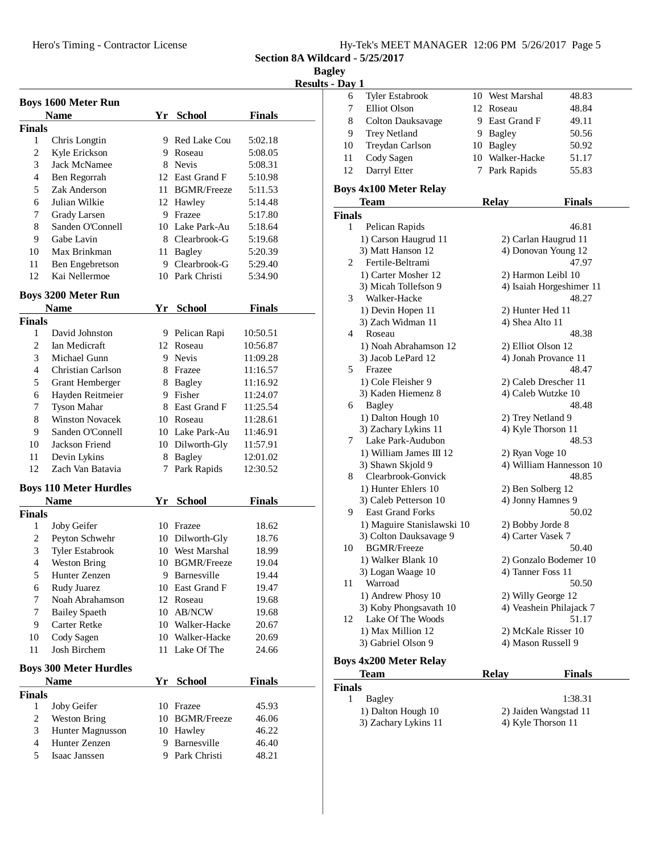| Hy-Tek's MEET MANAGER 12:06 PM 5/26/2017 Page 5 |  |
|-------------------------------------------------|--|
|-------------------------------------------------|--|

**Section 8A Wildcard - 5/25/2017**

## **Bagley**

**Results - Day 1**

|                |                               |    |                 |               | <b>Kesu</b> |
|----------------|-------------------------------|----|-----------------|---------------|-------------|
|                | <b>Boys 1600 Meter Run</b>    |    |                 |               |             |
|                | <b>Name</b>                   |    | Yr School       | <b>Finals</b> |             |
| <b>Finals</b>  |                               |    |                 |               |             |
| 1              | Chris Longtin                 |    | 9 Red Lake Cou  | 5:02.18       |             |
| 2              | Kyle Erickson                 |    | 9 Roseau        | 5:08.05       |             |
| 3              | <b>Jack McNamee</b>           |    | 8 Nevis         | 5:08.31       |             |
| 4              | Ben Regorrah                  |    | 12 East Grand F | 5:10.98       |             |
| 5              | Zak Anderson                  |    | 11 BGMR/Freeze  | 5:11.53       |             |
| 6              | Julian Wilkie                 |    | 12 Hawley       | 5:14.48       |             |
| 7              | Grady Larsen                  |    | 9 Frazee        | 5:17.80       |             |
| 8              | Sanden O'Connell              |    | 10 Lake Park-Au | 5:18.64       |             |
| 9              | Gabe Lavin                    |    | 8 Clearbrook-G  | 5:19.68       |             |
| 10             | Max Brinkman                  |    | 11 Bagley       | 5:20.39       |             |
| 11             | Ben Engebretson               |    | 9 Clearbrook-G  | 5:29.40       |             |
| 12             | Kai Nellermoe                 |    | 10 Park Christi | 5:34.90       |             |
|                | <b>Boys 3200 Meter Run</b>    |    |                 |               |             |
|                | <b>Name</b>                   |    | Yr School       | <b>Finals</b> |             |
| <b>Finals</b>  |                               |    |                 |               |             |
| 1              | David Johnston                |    | 9 Pelican Rapi  | 10:50.51      |             |
| 2              | Ian Medicraft                 |    | 12 Roseau       | 10:56.87      |             |
| 3              | Michael Gunn                  |    | 9 Nevis         | 11:09.28      |             |
| 4              | Christian Carlson             |    | 8 Frazee        | 11:16.57      |             |
| 5              | <b>Grant Hemberger</b>        |    | 8 Bagley        | 11:16.92      |             |
| 6              | Hayden Reitmeier              |    | 9 Fisher        | 11:24.07      |             |
| 7              | <b>Tyson Mahar</b>            |    | 8 East Grand F  | 11:25.54      |             |
| 8              | <b>Winston Novacek</b>        |    | 10 Roseau       | 11:28.61      |             |
| 9              | Sanden O'Connell              |    | 10 Lake Park-Au | 11:46.91      |             |
| 10             | Jackson Friend                |    | 10 Dilworth-Gly | 11:57.91      |             |
| 11             | Devin Lykins                  |    | 8 Bagley        | 12:01.02      |             |
| 12             | Zach Van Batavia              | 7  | Park Rapids     | 12:30.52      |             |
|                |                               |    |                 |               |             |
|                | <b>Boys 110 Meter Hurdles</b> |    |                 |               |             |
|                | <b>Name</b>                   | Yr | <b>School</b>   | <b>Finals</b> |             |
| <b>Finals</b>  |                               |    |                 |               |             |
| 1              | Joby Geifer                   |    | 10 Frazee       | 18.62         |             |
| 2              | Peyton Schwehr                |    | 10 Dilworth-Gly | 18.76         |             |
| 3              | <b>Tyler Estabrook</b>        |    | 10 West Marshal | 18.99         |             |
| 4              | Weston Bring                  |    | 10 BGMR/Freeze  | 19.04         |             |
| 5              | Hunter Zenzen                 |    | 9 Barnesville   | 19.44         |             |
| 6              | Rudy Juarez                   |    | 10 East Grand F | 19.47         |             |
| 7              | Noah Abrahamson               |    | 12 Roseau       | 19.68         |             |
| 7              | <b>Bailey Spaeth</b>          |    | 10 AB/NCW       | 19.68         |             |
| 9              | Carter Retke                  |    | 10 Walker-Hacke | 20.67         |             |
| 10             | Cody Sagen                    |    | 10 Walker-Hacke | 20.69         |             |
| 11             | Josh Birchem                  | 11 | Lake Of The     | 24.66         |             |
|                | <b>Boys 300 Meter Hurdles</b> |    |                 |               |             |
|                | <b>Name</b>                   |    | Yr School       | <b>Finals</b> |             |
| <b>Finals</b>  |                               |    |                 |               |             |
| 1              | <b>Joby Geifer</b>            |    | 10 Frazee       | 45.93         |             |
| $\overline{c}$ | <b>Weston Bring</b>           |    | 10 BGMR/Freeze  | 46.06         |             |
| 3              | Hunter Magnusson              |    | 10 Hawley       | 46.22         |             |
| 4              | Hunter Zenzen                 | 9  | Barnesville     | 46.40         |             |
| 5              | Isaac Janssen                 |    | 9 Park Christi  | 48.21         |             |
|                |                               |    |                 |               |             |

| рау 1         |                               |                         |                          |
|---------------|-------------------------------|-------------------------|--------------------------|
| 6             | Tyler Estabrook               | 10 West Marshal         | 48.83                    |
| 7             | <b>Elliot Olson</b>           | 12 Roseau               | 48.84                    |
| 8             | <b>Colton Dauksavage</b>      | 9 East Grand F          | 49.11                    |
| 9             | <b>Trey Netland</b>           | 9 Bagley                | 50.56                    |
| 10            | Treydan Carlson               | 10 Bagley               | 50.92                    |
| 11            | Cody Sagen                    | 10 Walker-Hacke         | 51.17                    |
| 12            | Darryl Etter                  | 7 Park Rapids           | 55.83                    |
|               |                               |                         |                          |
|               | <b>Boys 4x100 Meter Relay</b> |                         |                          |
|               | Team                          | <b>Relay</b>            | <b>Finals</b>            |
| <b>Finals</b> |                               |                         |                          |
| 1             | Pelican Rapids                |                         | 46.81                    |
|               | 1) Carson Haugrud 11          | 2) Carlan Haugrud 11    |                          |
|               | 3) Matt Hanson 12             | 4) Donovan Young 12     |                          |
| 2             | Fertile-Beltrami              |                         | 47.97                    |
|               | 1) Carter Mosher 12           | 2) Harmon Leibl 10      |                          |
|               | 3) Micah Tollefson 9          |                         | 4) Isaiah Horgeshimer 11 |
| 3             | Walker-Hacke                  |                         | 48.27                    |
|               | 1) Devin Hopen 11             | 2) Hunter Hed 11        |                          |
|               | 3) Zach Widman 11             | 4) Shea Alto 11         |                          |
| 4             | Roseau                        |                         | 48.38                    |
|               | 1) Noah Abrahamson 12         | 2) Elliot Olson 12      |                          |
|               | 3) Jacob LePard 12            | 4) Jonah Provance 11    |                          |
| 5             | Frazee                        |                         | 48.47                    |
|               | 1) Cole Fleisher 9            | 2) Caleb Drescher 11    |                          |
|               | 3) Kaden Hiemenz 8            | 4) Caleb Wutzke 10      |                          |
| 6             | <b>Bagley</b>                 |                         | 48.48                    |
|               | 1) Dalton Hough 10            | 2) Trey Netland 9       |                          |
|               | 3) Zachary Lykins 11          | 4) Kyle Thorson 11      |                          |
| 7             | Lake Park-Audubon             |                         | 48.53                    |
|               | 1) William James III 12       | 2) Ryan Voge 10         |                          |
|               | 3) Shawn Skjold 9             |                         | 4) William Hannesson 10  |
| 8             | Clearbrook-Gonvick            |                         | 48.85                    |
|               | 1) Hunter Ehlers 10           | 2) Ben Solberg 12       |                          |
|               | 3) Caleb Petterson 10         | 4) Jonny Hamnes 9       |                          |
| 9.            | <b>East Grand Forks</b>       |                         | 50.02                    |
|               | 1) Maguire Stanislawski 10    | 2) Bobby Jorde 8        |                          |
|               | 3) Colton Dauksavage 9        | 4) Carter Vasek 7       |                          |
| 10            | <b>BGMR/Freeze</b>            |                         | 50.40                    |
|               | 1) Walker Blank 10            | 2) Gonzalo Bodemer 10   |                          |
|               | 3) Logan Waage 10             | 4) Tanner Foss 11       |                          |
| 11            | Warroad                       |                         | 50.50                    |
|               | 1) Andrew Phosy 10            | 2) Willy George 12      |                          |
|               | 3) Koby Phongsavath 10        | 4) Veashein Philajack 7 |                          |
| 12            | Lake Of The Woods             |                         | 51.17                    |
|               | 1) Max Million 12             | 2) McKale Risser 10     |                          |
|               | 3) Gabriel Olson 9            | 4) Mason Russell 9      |                          |
|               |                               |                         |                          |
|               | <b>Boys 4x200 Meter Relay</b> |                         |                          |
|               | Team                          | <b>Relay</b>            | <b>Finals</b>            |
| <b>Finals</b> |                               |                         |                          |

| iais                 |                       |
|----------------------|-----------------------|
| Bagley<br>1          | 1:38.31               |
| 1) Dalton Hough 10   | 2) Jaiden Wangstad 11 |
| 3) Zachary Lykins 11 | 4) Kyle Thorson 11    |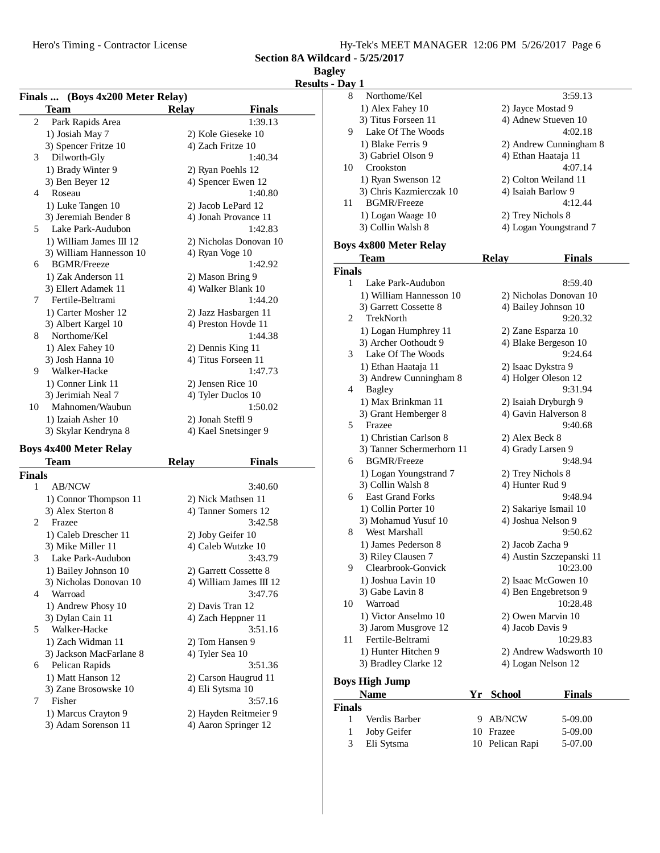|  | Hy-Tek's MEET MANAGER 12:06 PM 5/26/2017 Page 6 |  |  |
|--|-------------------------------------------------|--|--|
|  |                                                 |  |  |

**Section 8A Wildcard - 5/25/2017**

**Bagley**

 $\overline{\phantom{0}}$ 

 $Results - Day 1$ </u>

|               | Finals  (Boys 4x200 Meter Relay) |                 |                         |
|---------------|----------------------------------|-----------------|-------------------------|
|               | Team                             | <b>Relay</b>    | Finals                  |
| 2             | Park Rapids Area                 |                 | 1:39.13                 |
|               | 1) Josiah May 7                  |                 | 2) Kole Gieseke 10      |
|               | 3) Spencer Fritze 10             |                 | 4) Zach Fritze 10       |
| 3             | Dilworth-Gly                     |                 | 1:40.34                 |
|               | 1) Brady Winter 9                |                 | 2) Ryan Poehls 12       |
|               | 3) Ben Beyer 12                  |                 | 4) Spencer Ewen 12      |
| 4             | Roseau                           |                 | 1:40.80                 |
|               | 1) Luke Tangen 10                |                 | 2) Jacob LePard 12      |
|               | 3) Jeremiah Bender 8             |                 | 4) Jonah Provance 11    |
| 5             | Lake Park-Audubon                |                 | 1:42.83                 |
|               | 1) William James III 12          |                 | 2) Nicholas Donovan 10  |
|               | 3) William Hannesson 10          |                 | 4) Ryan Voge 10         |
| 6             | <b>BGMR/Freeze</b>               |                 | 1:42.92                 |
|               | 1) Zak Anderson 11               |                 | 2) Mason Bring 9        |
|               | 3) Ellert Adamek 11              |                 | 4) Walker Blank 10      |
| 7             | Fertile-Beltrami                 |                 | 1:44.20                 |
|               | 1) Carter Mosher 12              |                 | 2) Jazz Hasbargen 11    |
|               | 3) Albert Kargel 10              |                 | 4) Preston Hovde 11     |
| 8             | Northome/Kel                     |                 | 1:44.38                 |
|               | 1) Alex Fahey 10                 |                 | 2) Dennis King 11       |
|               | 3) Josh Hanna 10                 |                 | 4) Titus Forseen 11     |
| 9             | Walker-Hacke                     |                 | 1:47.73                 |
|               | 1) Conner Link 11                |                 | 2) Jensen Rice 10       |
|               | 3) Jerimiah Neal 7               |                 | 4) Tyler Duclos 10      |
| 10            | Mahnomen/Waubun                  |                 | 1:50.02                 |
|               | 1) Izaiah Asher 10               |                 | 2) Jonah Steffl 9       |
|               | 3) Skylar Kendryna 8             |                 | 4) Kael Snetsinger 9    |
|               | <b>Boys 4x400 Meter Relay</b>    |                 |                         |
|               | <b>Team</b>                      | <b>Relay</b>    | <b>Finals</b>           |
| <b>Finals</b> |                                  |                 |                         |
| 1             | AB/NCW                           |                 | 3:40.60                 |
|               | 1) Connor Thompson 11            |                 | 2) Nick Mathsen 11      |
|               | 3) Alex Sterton 8                |                 | 4) Tanner Somers 12     |
| 2             | Frazee                           |                 | 3:42.58                 |
|               | 1) Caleb Drescher 11             |                 | 2) Joby Geifer 10       |
|               | 3) Mike Miller 11                |                 | 4) Caleb Wutzke 10      |
| 3             | Lake Park-Audubon                |                 | 3:43.79                 |
|               | 1) Bailey Johnson 10             |                 | 2) Garrett Cossette 8   |
|               | 3) Nicholas Donovan 10           |                 | 4) William James III 12 |
| 4             | Warroad                          |                 | 3:47.76                 |
|               | 1) Andrew Phosy 10               |                 | 2) Davis Tran 12        |
|               | 3) Dylan Cain 11                 |                 | 4) Zach Heppner 11      |
| 5             | Walker-Hacke                     |                 | 3:51.16                 |
|               | 1) Zach Widman 11                |                 | 2) Tom Hansen 9         |
|               | 3) Jackson MacFarlane 8          | 4) Tyler Sea 10 |                         |
| 6             | Pelican Rapids                   |                 | 3:51.36                 |
|               | 1) Matt Hanson 12                |                 | 2) Carson Haugrud 11    |
|               | 3) Zane Brosowske 10             |                 | 4) Eli Sytsma 10        |
| 7             | Fisher                           |                 | 3:57.16                 |
|               | 1) Marcus Crayton 9              |                 | 2) Hayden Reitmeier 9   |
|               | 3) Adam Sorenson 11              |                 | 4) Aaron Springer 12    |

| gley          |                               |    |                |                          |
|---------------|-------------------------------|----|----------------|--------------------------|
| - Day 1       |                               |    |                |                          |
| 8             | Northome/Kel                  |    |                | 3:59.13                  |
|               | 1) Alex Fahey 10              |    |                | 2) Jayce Mostad 9        |
|               | 3) Titus Forseen 11           |    |                | 4) Adnew Stueven 10      |
| 9             | Lake Of The Woods             |    |                | 4:02.18                  |
|               | 1) Blake Ferris 9             |    |                |                          |
|               |                               |    |                | 2) Andrew Cunningham 8   |
|               | 3) Gabriel Olson 9            |    |                | 4) Ethan Haataja 11      |
| 10            | Crookston                     |    |                | 4:07.14                  |
|               | 1) Ryan Swenson 12            |    |                | 2) Colton Weiland 11     |
|               | 3) Chris Kazmierczak 10       |    |                | 4) Isaiah Barlow 9       |
| 11            | <b>BGMR/Freeze</b>            |    |                | 4:12.44                  |
|               | 1) Logan Waage 10             |    |                | 2) Trey Nichols 8        |
|               | 3) Collin Walsh 8             |    |                | 4) Logan Youngstrand 7   |
|               | <b>Boys 4x800 Meter Relay</b> |    |                |                          |
|               | <b>Team</b>                   |    | <b>Relay</b>   | <b>Finals</b>            |
|               |                               |    |                |                          |
| <b>Finals</b> |                               |    |                |                          |
| 1             | Lake Park-Audubon             |    |                | 8:59.40                  |
|               | 1) William Hannesson 10       |    |                | 2) Nicholas Donovan 10   |
|               | 3) Garrett Cossette 8         |    |                | 4) Bailey Johnson 10     |
| 2             | TrekNorth                     |    |                | 9:20.32                  |
|               | 1) Logan Humphrey 11          |    |                | 2) Zane Esparza 10       |
|               | 3) Archer Oothoudt 9          |    |                | 4) Blake Bergeson 10     |
| 3             | Lake Of The Woods             |    |                | 9:24.64                  |
|               | 1) Ethan Haataja 11           |    |                | 2) Isaac Dykstra 9       |
|               | 3) Andrew Cunningham 8        |    |                | 4) Holger Oleson 12      |
| 4             | <b>Bagley</b>                 |    |                | 9:31.94                  |
|               | 1) Max Brinkman 11            |    |                | 2) Isaiah Dryburgh 9     |
|               | 3) Grant Hemberger 8          |    |                | 4) Gavin Halverson 8     |
| 5.            | Frazee                        |    |                | 9:40.68                  |
|               |                               |    |                |                          |
|               | 1) Christian Carlson 8        |    | 2) Alex Beck 8 |                          |
|               | 3) Tanner Schermerhorn 11     |    |                | 4) Grady Larsen 9        |
| 6             | <b>BGMR/Freeze</b>            |    |                | 9:48.94                  |
|               | 1) Logan Youngstrand 7        |    |                | 2) Trey Nichols 8        |
|               | 3) Collin Walsh 8             |    |                | 4) Hunter Rud 9          |
| 6             | <b>East Grand Forks</b>       |    |                | 9:48.94                  |
|               | 1) Collin Porter 10           |    |                | 2) Sakariye Ismail 10    |
|               | 3) Mohamud Yusuf 10           |    |                | 4) Joshua Nelson 9       |
| 8             | West Marshall                 |    |                | 9:50.62                  |
|               | 1) James Pederson 8           |    |                | 2) Jacob Zacha 9         |
|               | 3) Riley Clausen 7            |    |                | 4) Austin Szczepanski 11 |
| 9.            | Clearbrook-Gonvick            |    |                | 10:23.00                 |
|               | 1) Joshua Lavin 10            |    |                | 2) Isaac McGowen 10      |
|               | 3) Gabe Lavin 8               |    |                | 4) Ben Engebretson 9     |
| 10            | Warroad                       |    |                | 10:28.48                 |
|               | 1) Victor Anselmo 10          |    |                | 2) Owen Marvin 10        |
|               | 3) Jarom Musgrove 12          |    |                | 4) Jacob Davis 9         |
| 11            | Fertile-Beltrami              |    |                | 10:29.83                 |
|               | 1) Hunter Hitchen 9           |    |                | 2) Andrew Wadsworth 10   |
|               |                               |    |                |                          |
|               | 3) Bradley Clarke 12          |    |                | 4) Logan Nelson 12       |
|               | <b>Boys High Jump</b>         |    |                |                          |
|               | <b>Name</b>                   |    | Yr School      | <b>Finals</b>            |
| <b>Finals</b> |                               |    |                |                          |
| 1             | Verdis Barber                 | 9. | AB/NCW         | 5-09.00                  |
| 1             | Joby Geifer                   |    | 10 Frazee      | 5-09.00                  |

3 Eli Sytsma 10 Pelican Rapi 5-07.00